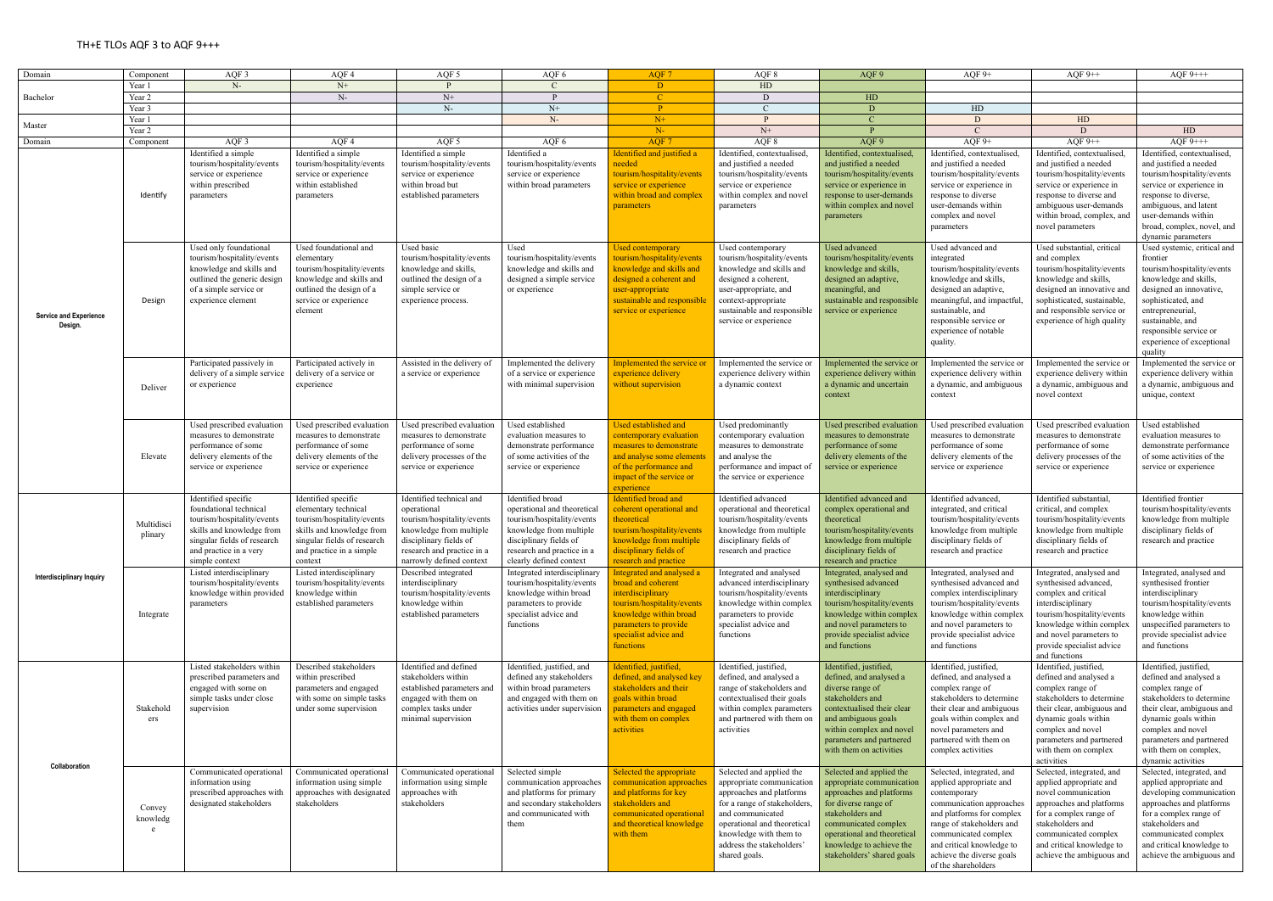| Domain                                   | Componen                | AQF 3                                                                                                                                                                                             | AQF 4                                                                                                                                                                               | AQF 5                                                                                                                                                                                         | AQF 6                                                                                                                                                                                       | AQF 7                                                                                                                                                                                                                              | AQF 8                                                                                                                                                                                                                                       | AQF 9                                                                                                                                                                                                                                                         | AQF $9+$                                                                                                                                                                                                                                                            | AQF $9++$                                                                                                                                                                                                                                                                                         | AQF $9$ +++                                                                                                                                                                                                                                                                                                          |
|------------------------------------------|-------------------------|---------------------------------------------------------------------------------------------------------------------------------------------------------------------------------------------------|-------------------------------------------------------------------------------------------------------------------------------------------------------------------------------------|-----------------------------------------------------------------------------------------------------------------------------------------------------------------------------------------------|---------------------------------------------------------------------------------------------------------------------------------------------------------------------------------------------|------------------------------------------------------------------------------------------------------------------------------------------------------------------------------------------------------------------------------------|---------------------------------------------------------------------------------------------------------------------------------------------------------------------------------------------------------------------------------------------|---------------------------------------------------------------------------------------------------------------------------------------------------------------------------------------------------------------------------------------------------------------|---------------------------------------------------------------------------------------------------------------------------------------------------------------------------------------------------------------------------------------------------------------------|---------------------------------------------------------------------------------------------------------------------------------------------------------------------------------------------------------------------------------------------------------------------------------------------------|----------------------------------------------------------------------------------------------------------------------------------------------------------------------------------------------------------------------------------------------------------------------------------------------------------------------|
| Bachelor                                 | Year 1                  | $N-$                                                                                                                                                                                              | $N+$                                                                                                                                                                                |                                                                                                                                                                                               |                                                                                                                                                                                             | D                                                                                                                                                                                                                                  | HD                                                                                                                                                                                                                                          |                                                                                                                                                                                                                                                               |                                                                                                                                                                                                                                                                     |                                                                                                                                                                                                                                                                                                   |                                                                                                                                                                                                                                                                                                                      |
|                                          | Year 2                  |                                                                                                                                                                                                   | $N-$                                                                                                                                                                                | ${\rm N}+$                                                                                                                                                                                    |                                                                                                                                                                                             | $\mathcal{C}$                                                                                                                                                                                                                      | D                                                                                                                                                                                                                                           | H <sub>D</sub>                                                                                                                                                                                                                                                |                                                                                                                                                                                                                                                                     |                                                                                                                                                                                                                                                                                                   |                                                                                                                                                                                                                                                                                                                      |
|                                          | Year 3                  |                                                                                                                                                                                                   |                                                                                                                                                                                     | $N-$                                                                                                                                                                                          | $N+$                                                                                                                                                                                        | P.                                                                                                                                                                                                                                 |                                                                                                                                                                                                                                             | D                                                                                                                                                                                                                                                             | HD                                                                                                                                                                                                                                                                  |                                                                                                                                                                                                                                                                                                   |                                                                                                                                                                                                                                                                                                                      |
|                                          | Year 1                  |                                                                                                                                                                                                   |                                                                                                                                                                                     |                                                                                                                                                                                               | $N-$                                                                                                                                                                                        | $N+$                                                                                                                                                                                                                               | D                                                                                                                                                                                                                                           |                                                                                                                                                                                                                                                               | D                                                                                                                                                                                                                                                                   | HD                                                                                                                                                                                                                                                                                                |                                                                                                                                                                                                                                                                                                                      |
| Master                                   | Year 2                  |                                                                                                                                                                                                   |                                                                                                                                                                                     |                                                                                                                                                                                               |                                                                                                                                                                                             |                                                                                                                                                                                                                                    |                                                                                                                                                                                                                                             |                                                                                                                                                                                                                                                               | $\mathcal{C}$                                                                                                                                                                                                                                                       |                                                                                                                                                                                                                                                                                                   |                                                                                                                                                                                                                                                                                                                      |
|                                          |                         |                                                                                                                                                                                                   |                                                                                                                                                                                     |                                                                                                                                                                                               |                                                                                                                                                                                             | $N-$                                                                                                                                                                                                                               | $N+$                                                                                                                                                                                                                                        |                                                                                                                                                                                                                                                               |                                                                                                                                                                                                                                                                     | D                                                                                                                                                                                                                                                                                                 | HD                                                                                                                                                                                                                                                                                                                   |
| Domain                                   | Componen                | AQF <sub>3</sub>                                                                                                                                                                                  | AQF 4                                                                                                                                                                               | AQF 5                                                                                                                                                                                         | AQF 6                                                                                                                                                                                       | AOF <sub>7</sub>                                                                                                                                                                                                                   | AQF 8                                                                                                                                                                                                                                       | AQF 9                                                                                                                                                                                                                                                         | AQF $9+$                                                                                                                                                                                                                                                            | AQF $9++$                                                                                                                                                                                                                                                                                         | $AOF 9+++$                                                                                                                                                                                                                                                                                                           |
| <b>Service and Experience</b><br>Design. | Identify                | Identified a simple<br>tourism/hospitality/events<br>service or experience<br>within prescribed<br>parameters<br>Used only foundational<br>tourism/hospitality/events<br>knowledge and skills and | Identified a simple<br>tourism/hospitality/events<br>service or experience<br>within established<br>parameters<br>Used foundational and<br>elementary<br>tourism/hospitality/events | Identified a simple<br>tourism/hospitality/events<br>service or experience<br>within broad but<br>established parameters<br>Used basic<br>tourism/hospitality/events<br>knowledge and skills, | Identified a<br>tourism/hospitality/events<br>service or experience<br>within broad parameters<br>Used<br>tourism/hospitality/events<br>knowledge and skills and                            | Identified and justified a<br><b>needed</b><br>tourism/hospitality/events<br>service or experience<br>within broad and complex<br><i>parameters</i><br>Used contemporary<br>tourism/hospitality/events<br>knowledge and skills and | Identified, contextualised<br>and justified a needed<br>tourism/hospitality/events<br>service or experience<br>within complex and novel<br>parameters<br>Used contemporary<br>tourism/hospitality/events<br>knowledge and skills and        | Identified, contextualised,<br>and justified a needed<br>tourism/hospitality/events<br>service or experience in<br>response to user-demands<br>within complex and novel<br>parameters<br>Used advanced<br>tourism/hospitality/events<br>knowledge and skills, | Identified, contextualised<br>and justified a needed<br>tourism/hospitality/events<br>service or experience in<br>response to diverse<br>user-demands within<br>complex and novel<br>parameters<br>Used advanced and<br>integrated<br>tourism/hospitality/events    | Identified, contextualised,<br>and justified a needed<br>tourism/hospitality/events<br>service or experience in<br>response to diverse and<br>ambiguous user-demands<br>within broad, complex, and<br>novel parameters<br>Used substantial, critical<br>and complex<br>tourism/hospitality/events | Identified, contextualised,<br>and justified a needed<br>tourism/hospitality/events<br>service or experience in<br>response to diverse,<br>ambiguous, and latent<br>user-demands within<br>broad, complex, novel, and<br>dynamic parameters<br>Used systemic, critical and<br>frontier<br>tourism/hospitality/events |
|                                          | Design                  | outlined the generic design<br>of a simple service or<br>experience element                                                                                                                       | knowledge and skills and<br>outlined the design of a<br>service or experience<br>element                                                                                            | outlined the design of a<br>simple service or<br>experience process.                                                                                                                          | designed a simple service<br>or experience                                                                                                                                                  | designed a coherent and<br>user-appropriate<br>sustainable and responsible<br>service or experience                                                                                                                                | designed a coherent,<br>user-appropriate, and<br>context-appropriate<br>sustainable and responsible<br>service or experience                                                                                                                | designed an adaptive,<br>meaningful, and<br>sustainable and responsible<br>service or experience                                                                                                                                                              | knowledge and skills,<br>designed an adaptive,<br>meaningful, and impactful<br>sustainable, and<br>responsible service or<br>experience of notable<br>quality.                                                                                                      | knowledge and skills,<br>designed an innovative and<br>sophisticated, sustainable,<br>and responsible service or<br>experience of high quality                                                                                                                                                    | knowledge and skills,<br>designed an innovative,<br>sophisticated, and<br>entrepreneurial,<br>sustainable, and<br>responsible service or<br>experience of exceptional<br>quality                                                                                                                                     |
|                                          | Deliver                 | Participated passively in<br>delivery of a simple service<br>or experience                                                                                                                        | Participated actively in<br>delivery of a service or<br>experience                                                                                                                  | Assisted in the delivery of<br>a service or experience                                                                                                                                        | Implemented the delivery<br>of a service or experience<br>with minimal supervision                                                                                                          | mplemented the service or<br>experience delivery<br>without supervision                                                                                                                                                            | Implemented the service o<br>experience delivery within<br>a dynamic context                                                                                                                                                                | Implemented the service or<br>experience delivery within<br>a dynamic and uncertain<br>context                                                                                                                                                                | Implemented the service of<br>experience delivery within<br>a dynamic, and ambiguous<br>context                                                                                                                                                                     | Implemented the service or<br>experience delivery within<br>a dynamic, ambiguous and<br>novel context                                                                                                                                                                                             | Implemented the service or<br>experience delivery within<br>a dynamic, ambiguous and<br>unique, context                                                                                                                                                                                                              |
|                                          | Elevate                 | Used prescribed evaluation<br>measures to demonstrate<br>performance of some<br>delivery elements of the<br>service or experience                                                                 | Used prescribed evaluation<br>measures to demonstrate<br>performance of some<br>delivery elements of the<br>service or experience                                                   | Used prescribed evaluation<br>measures to demonstrate<br>performance of some<br>delivery processes of the<br>service or experience                                                            | Used established<br>evaluation measures to<br>demonstrate performance<br>of some activities of the<br>service or experience                                                                 | Used established and<br>contemporary evaluation<br>measures to demonstrate<br>and analyse some element<br>of the performance and<br>impact of the service or<br>experience                                                         | Used predominantly<br>contemporary evaluation<br>measures to demonstrate<br>and analyse the<br>performance and impact of<br>the service or experience                                                                                       | Used prescribed evaluation<br>measures to demonstrate<br>performance of some<br>delivery elements of the<br>service or experience                                                                                                                             | Used prescribed evaluatio<br>measures to demonstrate<br>performance of some<br>delivery elements of the<br>service or experience                                                                                                                                    | Used prescribed evaluation<br>measures to demonstrate<br>performance of some<br>delivery processes of the<br>service or experience                                                                                                                                                                | Used established<br>evaluation measures to<br>demonstrate performance<br>of some activities of the<br>service or experience                                                                                                                                                                                          |
| Interdisciplinary Inquiry                | Multidisci<br>plinary   | Identified specific<br>foundational technical<br>tourism/hospitality/events<br>skills and knowledge from<br>singular fields of research<br>and practice in a very<br>simple context               | Identified specific<br>elementary technical<br>tourism/hospitality/events<br>skills and knowledge from<br>singular fields of research<br>and practice in a simple<br>context        | Identified technical and<br>operational<br>tourism/hospitality/events<br>knowledge from multiple<br>disciplinary fields of<br>research and practice in a<br>narrowly defined context          | Identified broad<br>operational and theoretical<br>tourism/hospitality/events<br>knowledge from multiple<br>disciplinary fields of<br>research and practice in a<br>clearly defined context | <b>Identified broad and</b><br>coherent operational and<br>heoretical<br>ourism/hospitality/events<br>knowledge from multiple<br>disciplinary fields of<br>research and practice                                                   | Identified advanced<br>operational and theoretical<br>tourism/hospitality/events<br>knowledge from multiple<br>disciplinary fields of<br>research and practice                                                                              | Identified advanced and<br>complex operational and<br>theoretical<br>tourism/hospitality/events<br>knowledge from multiple<br>disciplinary fields of<br>research and practice                                                                                 | Identified advanced,<br>integrated, and critical<br>tourism/hospitality/event<br>knowledge from multiple<br>disciplinary fields of<br>research and practice                                                                                                         | Identified substantial.<br>critical, and complex<br>tourism/hospitality/events<br>knowledge from multiple<br>disciplinary fields of<br>research and practice                                                                                                                                      | Identified frontier<br>tourism/hospitality/events<br>knowledge from multiple<br>disciplinary fields of<br>research and practice                                                                                                                                                                                      |
|                                          | Integrate               | Listed interdisciplinary<br>tourism/hospitality/events<br>knowledge within provided<br>parameters                                                                                                 | Listed interdisciplinary<br>tourism/hospitality/events<br>knowledge within<br>established parameters                                                                                | Described integrated<br>interdisciplinary<br>tourism/hospitality/events<br>knowledge within<br>established parameters                                                                         | Integrated interdisciplinary<br>tourism/hospitality/events<br>knowledge within broad<br>parameters to provide<br>specialist advice and<br>functions                                         | Integrated and analysed a<br>broad and coherent<br>interdisciplinary<br>tourism/hospitality/events<br>knowledge within broad<br>parameters to provide<br>specialist advice and<br>functions                                        | Integrated and analysed<br>advanced interdisciplinary<br>tourism/hospitality/events<br>knowledge within complex<br>parameters to provide<br>specialist advice and<br>functions                                                              | Integrated, analysed and<br>synthesised advanced<br>interdisciplinary<br>tourism/hospitality/events<br>knowledge within complex<br>and novel parameters to<br>provide specialist advice<br>and functions                                                      | Integrated, analysed and<br>synthesised advanced and<br>complex interdisciplinary<br>tourism/hospitality/events<br>knowledge within complex<br>and novel parameters to<br>provide specialist advice<br>and functions                                                | Integrated, analysed and<br>synthesised advanced,<br>complex and critical<br>interdisciplinary<br>tourism/hospitality/events<br>knowledge within complex<br>and novel parameters to<br>provide specialist advice<br>and functions                                                                 | Integrated, analysed and<br>synthesised frontier<br>interdisciplinary<br>tourism/hospitality/events<br>knowledge within<br>unspecified parameters to<br>provide specialist advice<br>and functions                                                                                                                   |
| Collaboration                            | Stakehold<br>ers        | Listed stakeholders within<br>prescribed parameters and<br>engaged with some on<br>simple tasks under close<br>supervision                                                                        | Described stakeholders<br>within prescribed<br>parameters and engaged<br>with some on simple tasks<br>under some supervision                                                        | Identified and defined<br>stakeholders within<br>established parameters and<br>engaged with them on<br>complex tasks under<br>minimal supervision                                             | Identified, justified, and<br>defined any stakeholders<br>within broad parameters<br>and engaged with them on<br>activities under supervision                                               | Identified, justified,<br>defined, and analysed key<br>stakeholders and their<br>goals within broad<br>parameters and engaged<br>with them on complex<br>activities                                                                | Identified, justified,<br>defined, and analysed a<br>range of stakeholders and<br>contextualised their goals<br>within complex parameters<br>and partnered with them on<br>activities                                                       | Identified, justified,<br>defined, and analysed a<br>diverse range of<br>stakeholders and<br>contextualised their clear<br>and ambiguous goals<br>within complex and novel<br>parameters and partnered<br>with them on activities                             | Identified, justified,<br>defined, and analysed a<br>complex range of<br>stakeholders to determine<br>their clear and ambiguous<br>goals within complex and<br>novel parameters and<br>partnered with them on<br>complex activities                                 | Identified, justified,<br>defined and analysed a<br>complex range of<br>stakeholders to determine<br>their clear, ambiguous and<br>dynamic goals within<br>complex and novel<br>parameters and partnered<br>with them on complex<br>activities                                                    | Identified, justified,<br>defined and analysed a<br>complex range of<br>stakeholders to determine<br>their clear, ambiguous and<br>dynamic goals within<br>complex and novel<br>parameters and partnered<br>with them on complex,<br>dynamic activities                                                              |
|                                          | Convey<br>knowledg<br>e | Communicated operational<br>information using<br>prescribed approaches with<br>designated stakeholders                                                                                            | Communicated operational<br>information using simple<br>approaches with designated<br>stakeholders                                                                                  | Communicated operational<br>information using simple<br>approaches with<br>stakeholders                                                                                                       | Selected simple<br>communication approaches<br>and platforms for primary<br>and secondary stakeholders<br>and communicated with<br>them                                                     | Selected the appropriate<br>communication approaches<br>and platforms for key<br>stakeholders and<br>communicated operational<br>and theoretical knowledge<br>with them                                                            | Selected and applied the<br>appropriate communication<br>approaches and platforms<br>for a range of stakeholders,<br>and communicated<br>operational and theoretical<br>knowledge with them to<br>address the stakeholders<br>shared goals. | Selected and applied the<br>appropriate communication<br>approaches and platforms<br>for diverse range of<br>stakeholders and<br>communicated complex<br>operational and theoretical<br>knowledge to achieve the<br>stakeholders' shared goals                | Selected, integrated, and<br>applied appropriate and<br>contemporary<br>communication approaches<br>and platforms for complex<br>range of stakeholders and<br>communicated complex<br>and critical knowledge to<br>achieve the diverse goals<br>of the shareholders | Selected, integrated, and<br>applied appropriate and<br>novel communication<br>approaches and platforms<br>for a complex range of<br>stakeholders and<br>communicated complex<br>and critical knowledge to<br>achieve the ambiguous and                                                           | Selected, integrated, and<br>applied appropriate and<br>developing communication<br>approaches and platforms<br>for a complex range of<br>stakeholders and<br>communicated complex<br>and critical knowledge to<br>achieve the ambiguous and                                                                         |